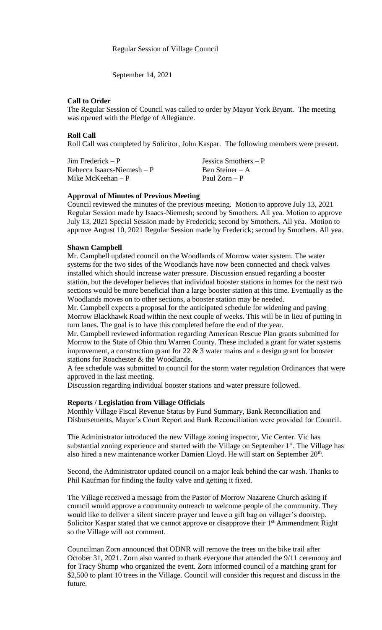September 14, 2021

# **Call to Order**

The Regular Session of Council was called to order by Mayor York Bryant. The meeting was opened with the Pledge of Allegiance.

## **Roll Call**

Roll Call was completed by Solicitor, John Kaspar. The following members were present.

| $Jim$ Frederick – P         | Jessica Smothers $-P$ |
|-----------------------------|-----------------------|
| Rebecca Isaacs-Niemesh $-P$ | Ben Steiner $-A$      |
| Mike McKeehan $-P$          | Paul Zorn $-P$        |

## **Approval of Minutes of Previous Meeting**

Council reviewed the minutes of the previous meeting. Motion to approve July 13, 2021 Regular Session made by Isaacs-Niemesh; second by Smothers. All yea. Motion to approve July 13, 2021 Special Session made by Frederick; second by Smothers. All yea. Motion to approve August 10, 2021 Regular Session made by Frederick; second by Smothers. All yea.

# **Shawn Campbell**

Mr. Campbell updated council on the Woodlands of Morrow water system. The water systems for the two sides of the Woodlands have now been connected and check valves installed which should increase water pressure. Discussion ensued regarding a booster station, but the developer believes that individual booster stations in homes for the next two sections would be more beneficial than a large booster station at this time. Eventually as the Woodlands moves on to other sections, a booster station may be needed.

Mr. Campbell expects a proposal for the anticipated schedule for widening and paving Morrow Blackhawk Road within the next couple of weeks. This will be in lieu of putting in turn lanes. The goal is to have this completed before the end of the year.

Mr. Campbell reviewed information regarding American Rescue Plan grants submitted for Morrow to the State of Ohio thru Warren County. These included a grant for water systems improvement, a construction grant for  $22 \& 3$  water mains and a design grant for booster stations for Roachester & the Woodlands.

A fee schedule was submitted to council for the storm water regulation Ordinances that were approved in the last meeting.

Discussion regarding individual booster stations and water pressure followed.

# **Reports / Legislation from Village Officials**

Monthly Village Fiscal Revenue Status by Fund Summary, Bank Reconciliation and Disbursements, Mayor's Court Report and Bank Reconciliation were provided for Council.

The Administrator introduced the new Village zoning inspector, Vic Center. Vic has substantial zoning experience and started with the Village on September  $1<sup>st</sup>$ . The Village has also hired a new maintenance worker Damien Lloyd. He will start on September 20<sup>th</sup>.

Second, the Administrator updated council on a major leak behind the car wash. Thanks to Phil Kaufman for finding the faulty valve and getting it fixed.

The Village received a message from the Pastor of Morrow Nazarene Church asking if council would approve a community outreach to welcome people of the community. They would like to deliver a silent sincere prayer and leave a gift bag on villager's doorstep. Solicitor Kaspar stated that we cannot approve or disapprove their  $1<sup>st</sup>$  Ammendment Right so the Village will not comment.

Councilman Zorn announced that ODNR will remove the trees on the bike trail after October 31, 2021. Zorn also wanted to thank everyone that attended the 9/11 ceremony and for Tracy Shump who organized the event. Zorn informed council of a matching grant for \$2,500 to plant 10 trees in the Village. Council will consider this request and discuss in the future.